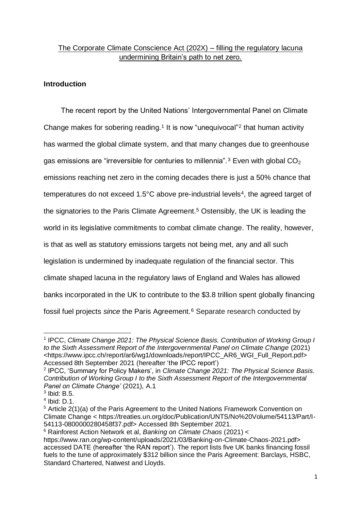# The Corporate Climate Conscience Act (202X) – filling the regulatory lacuna undermining Britain's path to net zero.

## **Introduction**

The recent report by the United Nations' Intergovernmental Panel on Climate Change makes for sobering reading.<sup>1</sup> It is now "unequivocal"<sup>2</sup> that human activity has warmed the global climate system, and that many changes due to greenhouse gas emissions are "irreversible for centuries to millennia".<sup>3</sup> Even with global  $CO<sub>2</sub>$ emissions reaching net zero in the coming decades there is just a 50% chance that temperatures do not exceed 1.5°C above pre-industrial levels<sup>4</sup>, the agreed target of the signatories to the Paris Climate Agreement.<sup>5</sup> Ostensibly, the UK is leading the world in its legislative commitments to combat climate change. The reality, however, is that as well as statutory emissions targets not being met, any and all such legislation is undermined by inadequate regulation of the financial sector. This climate shaped lacuna in the regulatory laws of England and Wales has allowed banks incorporated in the UK to contribute to the \$3.8 trillion spent globally financing fossil fuel projects *since* the Paris Agreement.<sup>6</sup> Separate research conducted by

<sup>&</sup>lt;sup>1</sup> IPCC, Climate Change 2021: The Physical Science Basis. Contribution of Working Group I *to the Sixth Assessment Report of the Intergovernmental Panel on Climate Change* (2021) <https://www.ipcc.ch/report/ar6/wg1/downloads/report/IPCC\_AR6\_WGI\_Full\_Report.pdf> Accessed 8th September 2021 (hereafter 'the IPCC report')

<sup>2</sup> IPCC, 'Summary for Policy Makers', in *Climate Change 2021: The Physical Science Basis. Contribution of Working Group I to the Sixth Assessment Report of the Intergovernmental Panel on Climate Change'* (2021), A.1

 $3$  Ibid: B.5.

<sup>4</sup> Ibid: D.1.

<sup>5</sup> Article 2(1)(a) of the Paris Agreement to the United Nations Framework Convention on Climate Change < https://treaties.un.org/doc/Publication/UNTS/No%20Volume/54113/Part/I-54113-0800000280458f37.pdf> Accessed 8th September 2021.

<sup>6</sup> Rainforest Action Network et al, *Banking on Climate Chaos* (2021) <

https://www.ran.org/wp-content/uploads/2021/03/Banking-on-Climate-Chaos-2021.pdf> accessed DATE (hereafter 'the RAN report'). The report lists five UK banks financing fossil fuels to the tune of approximately \$312 billion since the Paris Agreement: Barclays, HSBC, Standard Chartered, Natwest and Lloyds.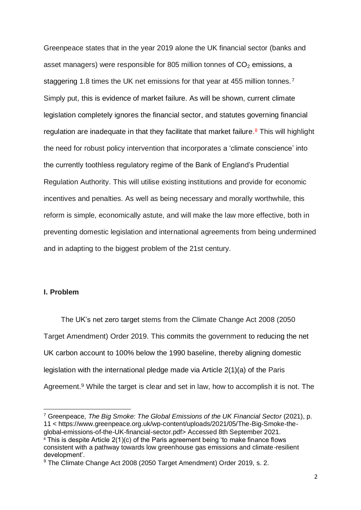Greenpeace states that in the year 2019 alone the UK financial sector (banks and asset managers) were responsible for 805 million tonnes of  $CO<sub>2</sub>$  emissions, a staggering 1.8 times the UK net emissions for that year at 455 million tonnes. <sup>7</sup> Simply put, this is evidence of market failure. As will be shown, current climate legislation completely ignores the financial sector, and statutes governing financial regulation are inadequate in that they facilitate that market failure.<sup>8</sup> This will highlight the need for robust policy intervention that incorporates a 'climate conscience' into the currently toothless regulatory regime of the Bank of England's Prudential Regulation Authority. This will utilise existing institutions and provide for economic incentives and penalties. As well as being necessary and morally worthwhile, this reform is simple, economically astute, and will make the law more effective, both in preventing domestic legislation and international agreements from being undermined and in adapting to the biggest problem of the 21st century.

#### **I. Problem**

The UK's net zero target stems from the Climate Change Act 2008 (2050 Target Amendment) Order 2019. This commits the government to reducing the net UK carbon account to 100% below the 1990 baseline, thereby aligning domestic legislation with the international pledge made via Article 2(1)(a) of the Paris Agreement.<sup>9</sup> While the target is clear and set in law, how to accomplish it is not. The

<sup>7</sup> Greenpeace, *The Big Smoke: The Global Emissions of the UK Financial Sector* (2021), p. 11 < https://www.greenpeace.org.uk/wp-content/uploads/2021/05/The-Big-Smoke-theglobal-emissions-of-the-UK-financial-sector.pdf> Accessed 8th September 2021. <sup>8</sup> This is despite Article 2(1)(c) of the Paris agreement being 'to make finance flows

consistent with a pathway towards low greenhouse gas emissions and climate-resilient development'.

<sup>9</sup> The Climate Change Act 2008 (2050 Target Amendment) Order 2019, s. 2.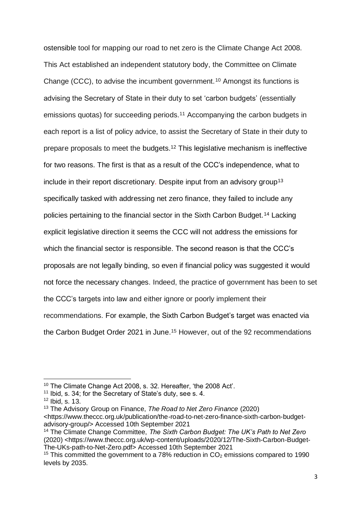ostensible tool for mapping our road to net zero is the Climate Change Act 2008. This Act established an independent statutory body, the Committee on Climate Change (CCC), to advise the incumbent government.<sup>10</sup> Amongst its functions is advising the Secretary of State in their duty to set 'carbon budgets' (essentially emissions quotas) for succeeding periods.<sup>11</sup> Accompanying the carbon budgets in each report is a list of policy advice, to assist the Secretary of State in their duty to prepare proposals to meet the budgets.<sup>12</sup> This legislative mechanism is ineffective for two reasons. The first is that as a result of the CCC's independence, what to include in their report discretionary. Despite input from an advisory group<sup>13</sup> specifically tasked with addressing net zero finance, they failed to include any policies pertaining to the financial sector in the Sixth Carbon Budget.<sup>14</sup> Lacking explicit legislative direction it seems the CCC will not address the emissions for which the financial sector is responsible. The second reason is that the CCC's proposals are not legally binding, so even if financial policy was suggested it would not force the necessary changes. Indeed, the practice of government has been to set the CCC's targets into law and either ignore or poorly implement their recommendations. For example, the Sixth Carbon Budget's target was enacted via the Carbon Budget Order 2021 in June. <sup>15</sup> However, out of the 92 recommendations

<sup>&</sup>lt;sup>10</sup> The Climate Change Act 2008, s. 32. Hereafter, 'the 2008 Act'.

<sup>&</sup>lt;sup>11</sup> Ibid, s. 34; for the Secretary of State's duty, see s. 4.

<sup>12</sup> Ibid, s. 13.

<sup>13</sup> The Advisory Group on Finance, *The Road to Net Zero Finance* (2020) <https://www.theccc.org.uk/publication/the-road-to-net-zero-finance-sixth-carbon-budgetadvisory-group/> Accessed 10th September 2021

<sup>14</sup> The Climate Change Committee, *The Sixth Carbon Budget: The UK's Path to Net Zero* (2020) <https://www.theccc.org.uk/wp-content/uploads/2020/12/The-Sixth-Carbon-Budget-The-UKs-path-to-Net-Zero.pdf> Accessed 10th September 2021

<sup>&</sup>lt;sup>15</sup> This committed the government to a 78% reduction in  $CO<sub>2</sub>$  emissions compared to 1990 levels by 2035.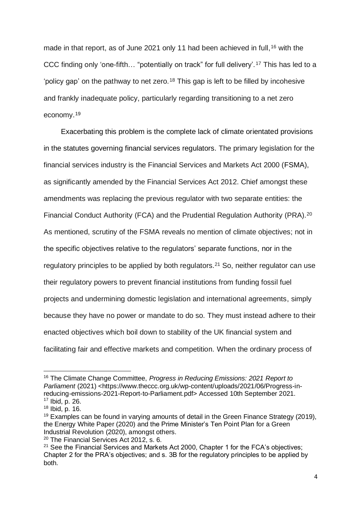made in that report, as of June 2021 only 11 had been achieved in full, <sup>16</sup> with the CCC finding only 'one-fifth… "potentially on track" for full delivery'.<sup>17</sup> This has led to a 'policy gap' on the pathway to net zero.<sup>18</sup> This gap is left to be filled by incohesive and frankly inadequate policy, particularly regarding transitioning to a net zero economy. 19

Exacerbating this problem is the complete lack of climate orientated provisions in the statutes governing financial services regulators. The primary legislation for the financial services industry is the Financial Services and Markets Act 2000 (FSMA), as significantly amended by the Financial Services Act 2012. Chief amongst these amendments was replacing the previous regulator with two separate entities: the Financial Conduct Authority (FCA) and the Prudential Regulation Authority (PRA).<sup>20</sup> As mentioned, scrutiny of the FSMA reveals no mention of climate objectives; not in the specific objectives relative to the regulators' separate functions, nor in the regulatory principles to be applied by both regulators.<sup>21</sup> So, neither regulator can use their regulatory powers to prevent financial institutions from funding fossil fuel projects and undermining domestic legislation and international agreements, simply because they have no power or mandate to do so. They must instead adhere to their enacted objectives which boil down to stability of the UK financial system and facilitating fair and effective markets and competition. When the ordinary process of

<sup>16</sup> The Climate Change Committee, *Progress in Reducing Emissions: 2021 Report to Parliament* (2021) <https://www.theccc.org.uk/wp-content/uploads/2021/06/Progress-inreducing-emissions-2021-Report-to-Parliament.pdf> Accessed 10th September 2021.  $17$  Ibid, p. 26.

 $18$  Ibid, p. 16.

 $19$  Examples can be found in varving amounts of detail in the Green Finance Strategy (2019), the Energy White Paper (2020) and the Prime Minister's Ten Point Plan for a Green Industrial Revolution (2020), amongst others.

<sup>&</sup>lt;sup>20</sup> The Financial Services Act 2012, s. 6.

<sup>&</sup>lt;sup>21</sup> See the Financial Services and Markets Act 2000, Chapter 1 for the FCA's objectives; Chapter 2 for the PRA's objectives; and s. 3B for the regulatory principles to be applied by both.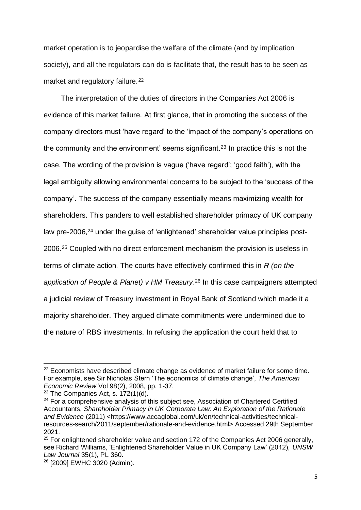market operation is to jeopardise the welfare of the climate (and by implication society), and all the regulators can do is facilitate that, the result has to be seen as market and regulatory failure.<sup>22</sup>

The interpretation of the duties of directors in the Companies Act 2006 is evidence of this market failure. At first glance, that in promoting the success of the company directors must 'have regard' to the 'impact of the company's operations on the community and the environment' seems significant.<sup>23</sup> In practice this is not the case. The wording of the provision is vague ('have regard'; 'good faith'), with the legal ambiguity allowing environmental concerns to be subject to the 'success of the company'. The success of the company essentially means maximizing wealth for shareholders. This panders to well established shareholder primacy of UK company law pre-2006,<sup>24</sup> under the guise of 'enlightened' shareholder value principles post-2006. <sup>25</sup> Coupled with no direct enforcement mechanism the provision is useless in terms of climate action. The courts have effectively confirmed this in *R (on the application of People & Planet) v HM Treasury*. <sup>26</sup> In this case campaigners attempted a judicial review of Treasury investment in Royal Bank of Scotland which made it a majority shareholder. They argued climate commitments were undermined due to the nature of RBS investments. In refusing the application the court held that to

<sup>&</sup>lt;sup>22</sup> Economists have described climate change as evidence of market failure for some time. For example, see Sir Nicholas Stern 'The economics of climate change', *The American Economic Review* Vol 98(2), 2008, pp. 1-37.

 $23$  The Companies Act, s. 172(1)(d).

 $24$  For a comprehensive analysis of this subject see. Association of Chartered Certified Accountants, *Shareholder Primacy in UK Corporate Law: An Exploration of the Rationale and Evidence* (2011) <https://www.accaglobal.com/uk/en/technical-activities/technicalresources-search/2011/september/rationale-and-evidence.html> Accessed 29th September 2021.

 $25$  For enlightened shareholder value and section 172 of the Companies Act 2006 generally, see Richard Williams, 'Enlightened Shareholder Value in UK Company Law' (2012), *UNSW Law Journal* 35(1), PL 360.

<sup>26</sup> [2009] EWHC 3020 (Admin).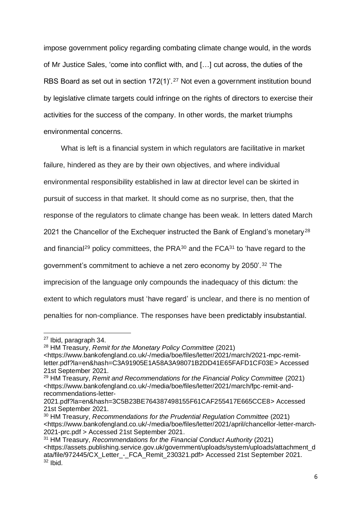impose government policy regarding combating climate change would, in the words of Mr Justice Sales, 'come into conflict with, and […] cut across, the duties of the RBS Board as set out in section 172(1)'.<sup>27</sup> Not even a government institution bound by legislative climate targets could infringe on the rights of directors to exercise their activities for the success of the company. In other words, the market triumphs environmental concerns.

What is left is a financial system in which regulators are facilitative in market failure, hindered as they are by their own objectives, and where individual environmental responsibility established in law at director level can be skirted in pursuit of success in that market. It should come as no surprise, then, that the response of the regulators to climate change has been weak. In letters dated March 2021 the Chancellor of the Exchequer instructed the Bank of England's monetary<sup>28</sup> and financial<sup>29</sup> policy committees, the PRA $30$  and the FCA $31$  to 'have regard to the government's commitment to achieve a net zero economy by 2050'.<sup>32</sup> The imprecision of the language only compounds the inadequacy of this dictum: the extent to which regulators must 'have regard' is unclear, and there is no mention of penalties for non-compliance. The responses have been predictably insubstantial.

<sup>27</sup> Ibid, paragraph 34.

<sup>28</sup> HM Treasury, *Remit for the Monetary Policy Committee* (2021)

<sup>&</sup>lt;https://www.bankofengland.co.uk/-/media/boe/files/letter/2021/march/2021-mpc-remitletter.pdf?la=en&hash=C3A91905E1A58A3A98071B2DD41E65FAFD1CF03E> Accessed 21st September 2021.

<sup>29</sup> HM Treasury, *Remit and Recommendations for the Financial Policy Committee* (2021) <https://www.bankofengland.co.uk/-/media/boe/files/letter/2021/march/fpc-remit-andrecommendations-letter-

<sup>2021.</sup>pdf?la=en&hash=3C5B23BE764387498155F61CAF255417E665CCE8> Accessed 21st September 2021.

<sup>30</sup> HM Treasury, *Recommendations for the Prudential Regulation Committee* (2021) <https://www.bankofengland.co.uk/-/media/boe/files/letter/2021/april/chancellor-letter-march-2021-prc.pdf > Accessed 21st September 2021.

<sup>31</sup> HM Treasury, *Recommendations for the Financial Conduct Authority* (2021) <https://assets.publishing.service.gov.uk/government/uploads/system/uploads/attachment\_d ata/file/972445/CX\_Letter\_-\_FCA\_Remit\_230321.pdf> Accessed 21st September 2021. <sup>32</sup> Ibid.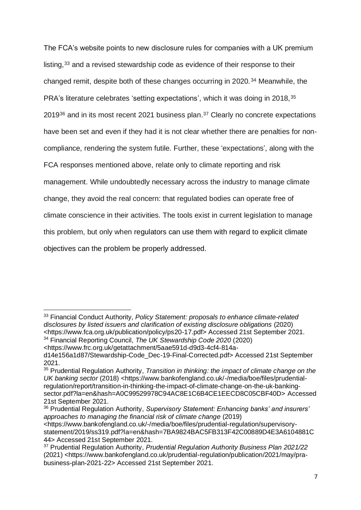The FCA's website points to new disclosure rules for companies with a UK premium listing,<sup>33</sup> and a revised stewardship code as evidence of their response to their changed remit, despite both of these changes occurring in 2020.<sup>34</sup> Meanwhile, the PRA's literature celebrates 'setting expectations', which it was doing in 2018, 35  $2019^{36}$  and in its most recent 2021 business plan.<sup>37</sup> Clearly no concrete expectations have been set and even if they had it is not clear whether there are penalties for noncompliance, rendering the system futile. Further, these 'expectations', along with the FCA responses mentioned above, relate only to climate reporting and risk management. While undoubtedly necessary across the industry to manage climate change, they avoid the real concern: that regulated bodies can operate free of climate conscience in their activities. The tools exist in current legislation to manage this problem, but only when regulators can use them with regard to explicit climate objectives can the problem be properly addressed.

<sup>33</sup> Financial Conduct Authority, *Policy Statement: proposals to enhance climate-related disclosures by listed issuers and clarification of existing disclosure obligations* (2020) <https://www.fca.org.uk/publication/policy/ps20-17.pdf> Accessed 21st September 2021. <sup>34</sup> Financial Reporting Council, *The UK Stewardship Code 2020* (2020)

<sup>&</sup>lt;https://www.frc.org.uk/getattachment/5aae591d-d9d3-4cf4-814a-

d14e156a1d87/Stewardship-Code\_Dec-19-Final-Corrected.pdf> Accessed 21st September 2021.

<sup>&</sup>lt;sup>35</sup> Prudential Regulation Authority, *Transition in thinking: the impact of climate change on the UK banking sector* (2018) <https://www.bankofengland.co.uk/-/media/boe/files/prudentialregulation/report/transition-in-thinking-the-impact-of-climate-change-on-the-uk-bankingsector.pdf?la=en&hash=A0C99529978C94AC8E1C6B4CE1EECD8C05CBF40D> Accessed 21st September 2021.

<sup>36</sup> Prudential Regulation Authority, *Supervisory Statement: Enhancing banks' and insurers' approaches to managing the financial risk of climate change* (2019) <https://www.bankofengland.co.uk/-/media/boe/files/prudential-regulation/supervisorystatement/2019/ss319.pdf?la=en&hash=7BA9824BAC5FB313F42C00889D4E3A6104881C 44> Accessed 21st September 2021.

<sup>37</sup> Prudential Regulation Authority, *Prudential Regulation Authority Business Plan 2021/22*  (2021) <https://www.bankofengland.co.uk/prudential-regulation/publication/2021/may/prabusiness-plan-2021-22> Accessed 21st September 2021.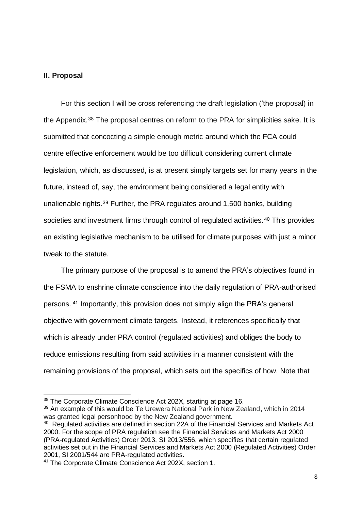### **II. Proposal**

For this section I will be cross referencing the draft legislation ('the proposal) in the Appendix.<sup>38</sup> The proposal centres on reform to the PRA for simplicities sake. It is submitted that concocting a simple enough metric around which the FCA could centre effective enforcement would be too difficult considering current climate legislation, which, as discussed, is at present simply targets set for many years in the future, instead of, say, the environment being considered a legal entity with unalienable rights.<sup>39</sup> Further, the PRA regulates around 1,500 banks, building societies and investment firms through control of regulated activities.<sup>40</sup> This provides an existing legislative mechanism to be utilised for climate purposes with just a minor tweak to the statute.

The primary purpose of the proposal is to amend the PRA's objectives found in the FSMA to enshrine climate conscience into the daily regulation of PRA-authorised persons. <sup>41</sup> Importantly, this provision does not simply align the PRA's general objective with government climate targets. Instead, it references specifically that which is already under PRA control (regulated activities) and obliges the body to reduce emissions resulting from said activities in a manner consistent with the remaining provisions of the proposal, which sets out the specifics of how. Note that

<sup>&</sup>lt;sup>38</sup> The Corporate Climate Conscience Act 202X, starting at page 16.

 $39$  An example of this would be Te Urewera National Park in New Zealand, which in 2014 was granted legal personhood by the New Zealand government.

<sup>&</sup>lt;sup>40</sup> Regulated activities are defined in section 22A of the Financial Services and Markets Act 2000. For the scope of PRA regulation see the Financial Services and Markets Act 2000 (PRA-regulated Activities) Order 2013, SI 2013/556, which specifies that certain regulated activities set out in the Financial Services and Markets Act 2000 (Regulated Activities) Order 2001, SI 2001/544 are PRA-regulated activities.

<sup>41</sup> The Corporate Climate Conscience Act 202X, section 1.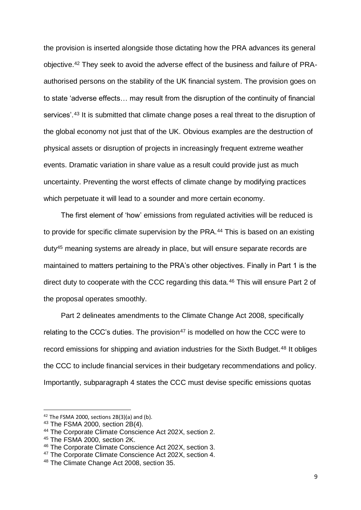the provision is inserted alongside those dictating how the PRA advances its general objective. <sup>42</sup> They seek to avoid the adverse effect of the business and failure of PRAauthorised persons on the stability of the UK financial system. The provision goes on to state 'adverse effects… may result from the disruption of the continuity of financial services'.<sup>43</sup> It is submitted that climate change poses a real threat to the disruption of the global economy not just that of the UK. Obvious examples are the destruction of physical assets or disruption of projects in increasingly frequent extreme weather events. Dramatic variation in share value as a result could provide just as much uncertainty. Preventing the worst effects of climate change by modifying practices which perpetuate it will lead to a sounder and more certain economy.

The first element of 'how' emissions from regulated activities will be reduced is to provide for specific climate supervision by the PRA.<sup>44</sup> This is based on an existing duty<sup>45</sup> meaning systems are already in place, but will ensure separate records are maintained to matters pertaining to the PRA's other objectives. Finally in Part 1 is the direct duty to cooperate with the CCC regarding this data.<sup>46</sup> This will ensure Part 2 of the proposal operates smoothly.

Part 2 delineates amendments to the Climate Change Act 2008, specifically relating to the CCC's duties. The provision $47$  is modelled on how the CCC were to record emissions for shipping and aviation industries for the Sixth Budget.<sup>48</sup> It obliges the CCC to include financial services in their budgetary recommendations and policy. Importantly, subparagraph 4 states the CCC must devise specific emissions quotas

 $42$  The FSMA 2000, sections 2B(3)(a) and (b).

<sup>43</sup> The FSMA 2000, section 2B(4).

<sup>44</sup> The Corporate Climate Conscience Act 202X, section 2.

<sup>45</sup> The FSMA 2000, section 2K.

<sup>46</sup> The Corporate Climate Conscience Act 202X, section 3.

<sup>&</sup>lt;sup>47</sup> The Corporate Climate Conscience Act 202X, section 4.

<sup>48</sup> The Climate Change Act 2008, section 35.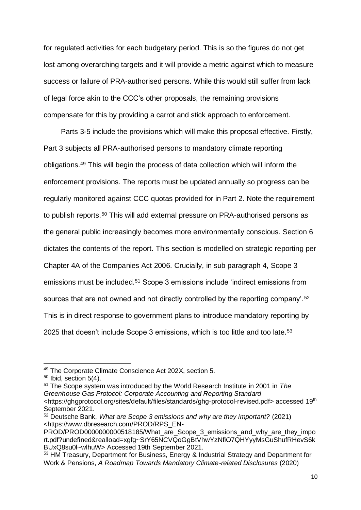for regulated activities for each budgetary period. This is so the figures do not get lost among overarching targets and it will provide a metric against which to measure success or failure of PRA-authorised persons. While this would still suffer from lack of legal force akin to the CCC's other proposals, the remaining provisions compensate for this by providing a carrot and stick approach to enforcement.

Parts 3-5 include the provisions which will make this proposal effective. Firstly, Part 3 subjects all PRA-authorised persons to mandatory climate reporting obligations.<sup>49</sup> This will begin the process of data collection which will inform the enforcement provisions. The reports must be updated annually so progress can be regularly monitored against CCC quotas provided for in Part 2. Note the requirement to publish reports.<sup>50</sup> This will add external pressure on PRA-authorised persons as the general public increasingly becomes more environmentally conscious. Section 6 dictates the contents of the report. This section is modelled on strategic reporting per Chapter 4A of the Companies Act 2006. Crucially, in sub paragraph 4, Scope 3 emissions must be included.<sup>51</sup> Scope 3 emissions include 'indirect emissions from sources that are not owned and not directly controlled by the reporting company'.<sup>52</sup> This is in direct response to government plans to introduce mandatory reporting by 2025 that doesn't include Scope 3 emissions, which is too little and too late.<sup>53</sup>

<sup>51</sup> The Scope system was introduced by the World Research Institute in 2001 in *The Greenhouse Gas Protocol: Corporate Accounting and Reporting Standard* <https://ghgprotocol.org/sites/default/files/standards/ghg-protocol-revised.pdf> accessed 19<sup>th</sup> September 2021.

<sup>49</sup> The Corporate Climate Conscience Act 202X, section 5.

 $50$  Ibid, section  $5(4)$ .

<sup>52</sup> Deutsche Bank, *What are Scope 3 emissions and why are they important?* (2021) <https://www.dbresearch.com/PROD/RPS\_EN-

PROD/PROD0000000000518185/What\_are\_Scope\_3\_emissions\_and\_why\_are\_they\_impo rt.pdf?undefined&realload=xgfg~SrY65NCVQoGgBtVhwYzNfiO7QHYyyMsGuShufRHevS6k BUxQ8su0l~wlhuW> Accessed 19th September 2021.

<sup>53</sup> HM Treasury, Department for Business, Energy & Industrial Strategy and Department for Work & Pensions, *A Roadmap Towards Mandatory Climate-related Disclosures* (2020)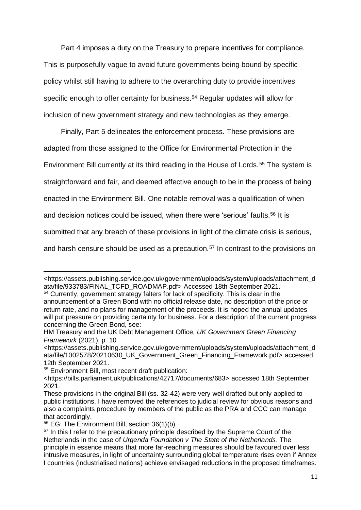Part 4 imposes a duty on the Treasury to prepare incentives for compliance. This is purposefully vague to avoid future governments being bound by specific policy whilst still having to adhere to the overarching duty to provide incentives specific enough to offer certainty for business.<sup>54</sup> Regular updates will allow for inclusion of new government strategy and new technologies as they emerge.

Finally, Part 5 delineates the enforcement process. These provisions are adapted from those assigned to the Office for Environmental Protection in the Environment Bill currently at its third reading in the House of Lords. <sup>55</sup> The system is straightforward and fair, and deemed effective enough to be in the process of being enacted in the Environment Bill. One notable removal was a qualification of when and decision notices could be issued, when there were 'serious' faults.<sup>56</sup> It is submitted that any breach of these provisions in light of the climate crisis is serious, and harsh censure should be used as a precaution.<sup>57</sup> In contrast to the provisions on

<sup>55</sup> Environment Bill, most recent draft publication:

<sup>&</sup>lt;https://assets.publishing.service.gov.uk/government/uploads/system/uploads/attachment\_d ata/file/933783/FINAL\_TCFD\_ROADMAP.pdf> Accessed 18th September 2021.

<sup>54</sup> Currently, government strategy falters for lack of specificity. This is clear in the announcement of a Green Bond with no official release date, no description of the price or return rate, and no plans for management of the proceeds. It is hoped the annual updates will put pressure on providing certainty for business. For a description of the current progress concerning the Green Bond, see:

HM Treasury and the UK Debt Management Office, *UK Government Green Financing Framework* (2021), p. 10

<sup>&</sup>lt;https://assets.publishing.service.gov.uk/government/uploads/system/uploads/attachment\_d ata/file/1002578/20210630\_UK\_Government\_Green\_Financing\_Framework.pdf> accessed 12th September 2021.

<sup>&</sup>lt;https://bills.parliament.uk/publications/42717/documents/683> accessed 18th September 2021.

These provisions in the original Bill (ss. 32-42) were very well drafted but only applied to public institutions. I have removed the references to judicial review for obvious reasons and also a complaints procedure by members of the public as the PRA and CCC can manage that accordingly.

 $56$  EG: The Environment Bill, section  $36(1)(b)$ .

<sup>&</sup>lt;sup>57</sup> In this I refer to the precautionary principle described by the Supreme Court of the Netherlands in the case of *Urgenda Foundation v The State of the Netherlands*. The principle in essence means that more far-reaching measures should be favoured over less intrusive measures, in light of uncertainty surrounding global temperature rises even if Annex I countries (industrialised nations) achieve envisaged reductions in the proposed timeframes.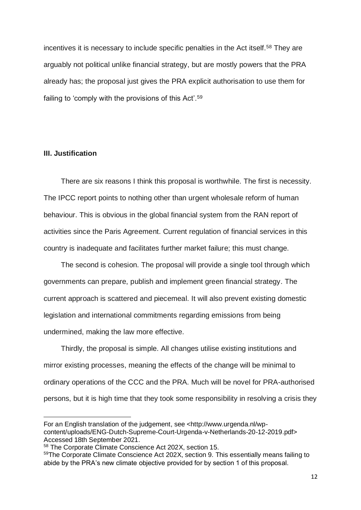incentives it is necessary to include specific penalties in the Act itself.<sup>58</sup> They are arguably not political unlike financial strategy, but are mostly powers that the PRA already has; the proposal just gives the PRA explicit authorisation to use them for failing to 'comply with the provisions of this Act'.<sup>59</sup>

### **III. Justification**

There are six reasons I think this proposal is worthwhile. The first is necessity. The IPCC report points to nothing other than urgent wholesale reform of human behaviour. This is obvious in the global financial system from the RAN report of activities since the Paris Agreement. Current regulation of financial services in this country is inadequate and facilitates further market failure; this must change.

The second is cohesion. The proposal will provide a single tool through which governments can prepare, publish and implement green financial strategy. The current approach is scattered and piecemeal. It will also prevent existing domestic legislation and international commitments regarding emissions from being undermined, making the law more effective.

Thirdly, the proposal is simple. All changes utilise existing institutions and mirror existing processes, meaning the effects of the change will be minimal to ordinary operations of the CCC and the PRA. Much will be novel for PRA-authorised persons, but it is high time that they took some responsibility in resolving a crisis they

For an English translation of the judgement, see <http://www.urgenda.nl/wpcontent/uploads/ENG-Dutch-Supreme-Court-Urgenda-v-Netherlands-20-12-2019.pdf> Accessed 18th September 2021.

<sup>58</sup> The Corporate Climate Conscience Act 202X, section 15.

<sup>&</sup>lt;sup>59</sup>The Corporate Climate Conscience Act 202X, section 9. This essentially means failing to abide by the PRA's new climate objective provided for by section 1 of this proposal.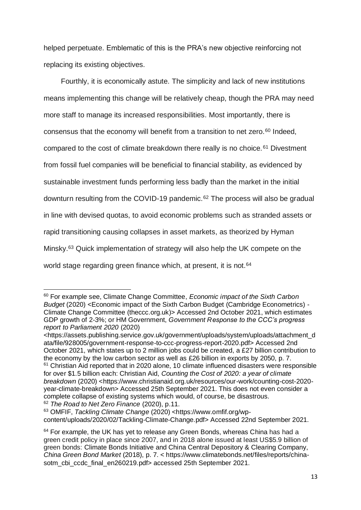helped perpetuate. Emblematic of this is the PRA's new objective reinforcing not replacing its existing objectives.

Fourthly, it is economically astute. The simplicity and lack of new institutions means implementing this change will be relatively cheap, though the PRA may need more staff to manage its increased responsibilities. Most importantly, there is consensus that the economy will benefit from a transition to net zero.<sup>60</sup> Indeed, compared to the cost of climate breakdown there really is no choice.<sup>61</sup> Divestment from fossil fuel companies will be beneficial to financial stability, as evidenced by sustainable investment funds performing less badly than the market in the initial downturn resulting from the COVID-19 pandemic.<sup>62</sup> The process will also be gradual in line with devised quotas, to avoid economic problems such as stranded assets or rapid transitioning causing collapses in asset markets, as theorized by Hyman Minsky.<sup>63</sup> Quick implementation of strategy will also help the UK compete on the world stage regarding green finance which, at present, it is not.<sup>64</sup>

<sup>63</sup> OMFIF, *Tackling Climate Change* (2020) <https://www.omfif.org/wpcontent/uploads/2020/02/Tackling-Climate-Change.pdf> Accessed 22nd September 2021.

<sup>60</sup> For example see, Climate Change Committee, *Economic impact of the Sixth Carbon Budget* (2020) <Economic impact of the Sixth Carbon Budget (Cambridge Econometrics) - Climate Change Committee (theccc.org.uk)> Accessed 2nd October 2021, which estimates GDP growth of 2-3%; or HM Government, *Government Response to the CCC's progress report to Parliament 2020* (2020)

<sup>&</sup>lt;https://assets.publishing.service.gov.uk/government/uploads/system/uploads/attachment\_d ata/file/928005/government-response-to-ccc-progress-report-2020.pdf> Accessed 2nd October 2021, which states up to 2 million jobs could be created, a £27 billion contribution to the economy by the low carbon sector as well as £26 billion in exports by 2050, p. 7.

 $61$  Christian Aid reported that in 2020 alone, 10 climate influenced disasters were responsible for over \$1.5 billion each: Christian Aid, *Counting the Cost of 2020: a year of climate breakdown* (2020) <https://www.christianaid.org.uk/resources/our-work/counting-cost-2020year-climate-breakdown> Accessed 25th September 2021. This does not even consider a complete collapse of existing systems which would, of course, be disastrous. <sup>62</sup> *The Road to Net Zero Finance* (2020), p.11.

<sup>&</sup>lt;sup>64</sup> For example, the UK has yet to release any Green Bonds, whereas China has had a green credit policy in place since 2007, and in 2018 alone issued at least US\$5.9 billion of green bonds: Climate Bonds Initiative and China Central Depository & Clearing Company, *China Green Bond Market* (2018), p. 7. < https://www.climatebonds.net/files/reports/chinasotm\_cbi\_ccdc\_final\_en260219.pdf> accessed 25th September 2021.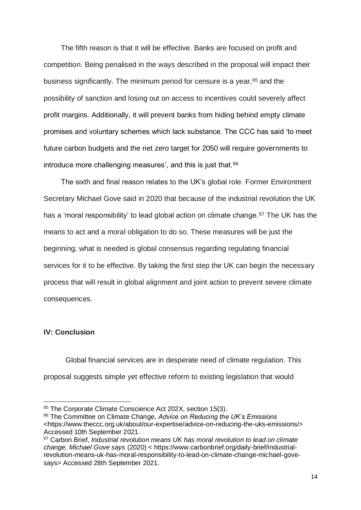The fifth reason is that it will be effective. Banks are focused on profit and competition. Being penalised in the ways described in the proposal will impact their business significantly. The minimum period for censure is a year, <sup>65</sup> and the possibility of sanction and losing out on access to incentives could severely affect profit margins. Additionally, it will prevent banks from hiding behind empty climate promises and voluntary schemes which lack substance. The CCC has said 'to meet future carbon budgets and the net zero target for 2050 will require governments to introduce more challenging measures', and this is just that.<sup>66</sup>

The sixth and final reason relates to the UK's global role. Former Environment Secretary Michael Gove said in 2020 that because of the industrial revolution the UK has a 'moral responsibility' to lead global action on climate change. <sup>67</sup> The UK has the means to act and a moral obligation to do so. These measures will be just the beginning; what is needed is global consensus regarding regulating financial services for it to be effective. By taking the first step the UK can begin the necessary process that will result in global alignment and joint action to prevent severe climate consequences.

### **IV: Conclusion**

Global financial services are in desperate need of climate regulation. This proposal suggests simple yet effective reform to existing legislation that would

<sup>&</sup>lt;sup>65</sup> The Corporate Climate Conscience Act 202X, section 15(3).

<sup>66</sup> The Committee on Climate Change, *Advice on Reducing the UK's Emissions* <https://www.theccc.org.uk/about/our-expertise/advice-on-reducing-the-uks-emissions/> Accessed 10th September 2021.

<sup>67</sup> Carbon Brief, *Industrial revolution means UK has moral revolution to lead on climate change, Michael Gove says* (2020) < https://www.carbonbrief.org/daily-brief/industrialrevolution-means-uk-has-moral-responsibility-to-lead-on-climate-change-michael-govesays> Accessed 28th September 2021.